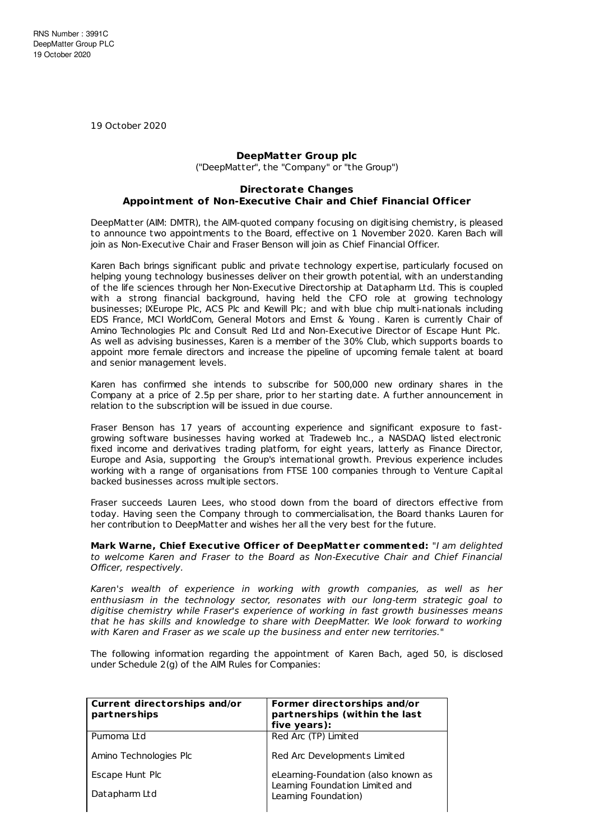19 October 2020

## **DeepMatter Group plc**

("DeepMatter", the "Company" or "the Group")

## **Directorate Changes Appointment of Non-Executive Chair and Chief Financial Officer**

DeepMatter (AIM: DMTR), the AIM-quoted company focusing on digitising chemistry, is pleased to announce two appointments to the Board, effective on 1 November 2020. Karen Bach will join as Non-Executive Chair and Fraser Benson will join as Chief Financial Officer.

Karen Bach brings significant public and private technology expertise, particularly focused on helping young technology businesses deliver on their growth potential, with an understanding of the life sciences through her Non-Executive Directorship at Datapharm Ltd. This is coupled with a strong financial background, having held the CFO role at growing technology businesses; IXEurope Plc, ACS Plc and Kewill Plc; and with blue chip multi-nationals including EDS France, MCI WorldCom, General Motors and Ernst & Young . Karen is currently Chair of Amino Technologies Plc and Consult Red Ltd and Non-Executive Director of Escape Hunt Plc. As well as advising businesses, Karen is a member of the 30% Club, which supports boards to appoint more female directors and increase the pipeline of upcoming female talent at board and senior management levels.

Karen has confirmed she intends to subscribe for 500,000 new ordinary shares in the Company at a price of 2.5p per share, prior to her starting date. A further announcement in relation to the subscription will be issued in due course.

Fraser Benson has 17 years of accounting experience and significant exposure to fastgrowing software businesses having worked at Tradeweb Inc., a NASDAQ listed electronic fixed income and derivatives trading platform, for eight years, latterly as Finance Director, Europe and Asia, supporting the Group's international growth. Previous experience includes working with a range of organisations from FTSE 100 companies through to Venture Capital backed businesses across multiple sectors.

Fraser succeeds Lauren Lees, who stood down from the board of directors effective from today. Having seen the Company through to commercialisation, the Board thanks Lauren for her contribution to DeepMatter and wishes her all the very best for the future.

**Mark Warne, Chief Execut ive Officer of DeepMat ter commented:** "I am delighted to welcome Karen and Fraser to the Board as Non-Executive Chair and Chief Financial Officer, respectively.

Karen's wealth of experience in working with growth companies, as well as her enthusiasm in the technology sector, resonates with our long-term strategic goal to digitise chemistry while Fraser's experience of working in fast growth businesses means that he has skills and knowledge to share with DeepMatter. We look forward to working with Karen and Fraser as we scale up the business and enter new territories."

The following information regarding the appointment of Karen Bach, aged 50, is disclosed under Schedule 2(g) of the AIM Rules for Companies:

| Current directorships and/or<br>partnerships | Former directorships and/or<br>partnerships (within the last<br>five years): |  |  |
|----------------------------------------------|------------------------------------------------------------------------------|--|--|
| Pumoma Ltd                                   | Red Arc (TP) Limited                                                         |  |  |
| Amino Technologies Plc                       | Red Arc Developments Limited                                                 |  |  |
| Escape Hunt Plc                              | eLearning-Foundation (also known as                                          |  |  |
| Datapharm Ltd                                | Learning Foundation Limited and<br>Leaming Foundation)                       |  |  |